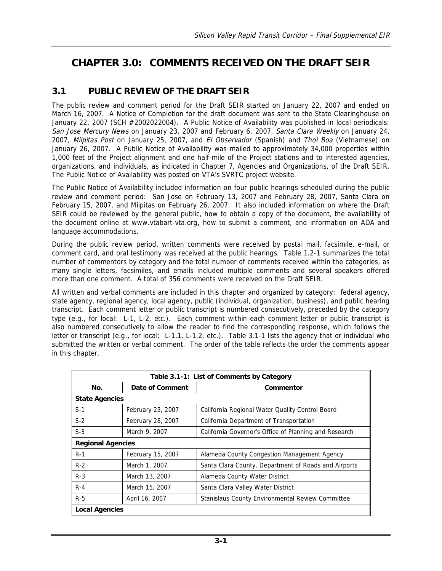## **CHAPTER 3.0: COMMENTS RECEIVED ON THE DRAFT SEIR**

## **3.1 PUBLIC REVIEW OF THE DRAFT SEIR**

The public review and comment period for the Draft SEIR started on January 22, 2007 and ended on March 16, 2007. A Notice of Completion for the draft document was sent to the State Clearinghouse on January 22, 2007 (SCH #2002022004). A Public Notice of Availability was published in local periodicals: San Jose Mercury News on January 23, 2007 and February 6, 2007, Santa Clara Weekly on January 24, 2007, Milpitas Post on January 25, 2007, and El Observador (Spanish) and Thoi Boa (Vietnamese) on January 26, 2007. A Public Notice of Availability was mailed to approximately 34,000 properties within 1,000 feet of the Project alignment and one half-mile of the Project stations and to interested agencies, organizations, and individuals, as indicated in Chapter 7, Agencies and Organizations, of the Draft SEIR. The Public Notice of Availability was posted on VTA's SVRTC project website.

The Public Notice of Availability included information on four public hearings scheduled during the public review and comment period: San Jose on February 13, 2007 and February 28, 2007, Santa Clara on February 15, 2007, and Milpitas on February 26, 2007. It also included information on where the Draft SEIR could be reviewed by the general public, how to obtain a copy of the document, the availability of the document online at www.vtabart-vta.org, how to submit a comment, and information on ADA and language accommodations.

During the public review period, written comments were received by postal mail, facsimile, e-mail, or comment card, and oral testimony was received at the public hearings. Table 1.2-1 summarizes the total number of commentors by category and the total number of comments received within the categories, as many single letters, facsimiles, and emails included multiple comments and several speakers offered more than one comment. A total of 356 comments were received on the Draft SEIR.

All written and verbal comments are included in this chapter and organized by category: federal agency, state agency, regional agency, local agency, public (individual, organization, business), and public hearing transcript. Each comment letter or public transcript is numbered consecutively, preceded by the category type (e.g., for local: L-1, L-2, etc.). Each comment within each comment letter or public transcript is also numbered consecutively to allow the reader to find the corresponding response, which follows the letter or transcript (e.g., for local: L-1.1, L-1.2, etc.). Table 3.1-1 lists the agency that or individual who submitted the written or verbal comment. The order of the table reflects the order the comments appear in this chapter.

| Table 3.1-1: List of Comments by Category |                   |                                                       |  |  |
|-------------------------------------------|-------------------|-------------------------------------------------------|--|--|
| No.                                       | Date of Comment   | Commentor                                             |  |  |
| <b>State Agencies</b>                     |                   |                                                       |  |  |
| $S-1$                                     | February 23, 2007 | California Regional Water Quality Control Board       |  |  |
| $S-2$                                     | February 28, 2007 | California Department of Transportation               |  |  |
| $S-3$                                     | March 9, 2007     | California Governor's Office of Planning and Research |  |  |
| <b>Regional Agencies</b>                  |                   |                                                       |  |  |
| $R-1$                                     | February 15, 2007 | Alameda County Congestion Management Agency           |  |  |
| $R-2$                                     | March 1, 2007     | Santa Clara County, Department of Roads and Airports  |  |  |
| $R-3$                                     | March 13, 2007    | Alameda County Water District                         |  |  |
| $R - 4$                                   | March 15, 2007    | Santa Clara Valley Water District                     |  |  |
| $R-5$                                     | April 16, 2007    | Stanislaus County Environmental Review Committee      |  |  |
| <b>Local Agencies</b>                     |                   |                                                       |  |  |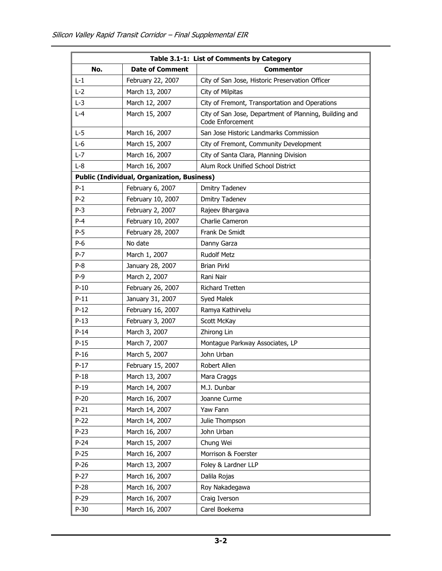|         | Table 3.1-1: List of Comments by Category          |                                                                            |  |  |  |
|---------|----------------------------------------------------|----------------------------------------------------------------------------|--|--|--|
| No.     | <b>Date of Comment</b>                             | <b>Commentor</b>                                                           |  |  |  |
| $L-1$   | February 22, 2007                                  | City of San Jose, Historic Preservation Officer                            |  |  |  |
| $L-2$   | March 13, 2007                                     | City of Milpitas                                                           |  |  |  |
| $L-3$   | March 12, 2007                                     | City of Fremont, Transportation and Operations                             |  |  |  |
| $L - 4$ | March 15, 2007                                     | City of San Jose, Department of Planning, Building and<br>Code Enforcement |  |  |  |
| $L-5$   | March 16, 2007                                     | San Jose Historic Landmarks Commission                                     |  |  |  |
| $L-6$   | March 15, 2007                                     | City of Fremont, Community Development                                     |  |  |  |
| $L - 7$ | March 16, 2007                                     | City of Santa Clara, Planning Division                                     |  |  |  |
| $L-8$   | March 16, 2007                                     | Alum Rock Unified School District                                          |  |  |  |
|         | <b>Public (Individual, Organization, Business)</b> |                                                                            |  |  |  |
| $P-1$   | February 6, 2007                                   | <b>Dmitry Tadenev</b>                                                      |  |  |  |
| $P-2$   | February 10, 2007                                  | <b>Dmitry Tadenev</b>                                                      |  |  |  |
| $P-3$   | February 2, 2007                                   | Rajeev Bhargava                                                            |  |  |  |
| $P-4$   | February 10, 2007                                  | Charlie Cameron                                                            |  |  |  |
| $P-5$   | February 28, 2007                                  | Frank De Smidt                                                             |  |  |  |
| P-6     | No date                                            | Danny Garza                                                                |  |  |  |
| $P-7$   | March 1, 2007                                      | <b>Rudolf Metz</b>                                                         |  |  |  |
| $P-8$   | January 28, 2007                                   | <b>Brian Pirkl</b>                                                         |  |  |  |
| P-9     | March 2, 2007                                      | Rani Nair                                                                  |  |  |  |
| $P-10$  | February 26, 2007                                  | Richard Tretten                                                            |  |  |  |
| $P-11$  | January 31, 2007                                   | Syed Malek                                                                 |  |  |  |
| $P-12$  | February 16, 2007                                  | Ramya Kathirvelu                                                           |  |  |  |
| $P-13$  | February 3, 2007                                   | Scott McKay                                                                |  |  |  |
| $P-14$  | March 3, 2007                                      | Zhirong Lin                                                                |  |  |  |
| $P-15$  | March 7, 2007                                      | Montague Parkway Associates, LP                                            |  |  |  |
| $P-16$  | March 5, 2007                                      | John Urban                                                                 |  |  |  |
| $P-17$  | February 15, 2007                                  | Robert Allen                                                               |  |  |  |
| $P-18$  | March 13, 2007                                     | Mara Craggs                                                                |  |  |  |
| $P-19$  | March 14, 2007                                     | M.J. Dunbar                                                                |  |  |  |
| $P-20$  | March 16, 2007                                     | Joanne Curme                                                               |  |  |  |
| $P-21$  | March 14, 2007                                     | Yaw Fann                                                                   |  |  |  |
| $P-22$  | March 14, 2007                                     | Julie Thompson                                                             |  |  |  |
| $P-23$  | March 16, 2007                                     | John Urban                                                                 |  |  |  |
| $P-24$  | March 15, 2007                                     | Chung Wei                                                                  |  |  |  |
| $P-25$  | March 16, 2007                                     | Morrison & Foerster                                                        |  |  |  |
| $P-26$  | March 13, 2007                                     | Foley & Lardner LLP                                                        |  |  |  |
| $P-27$  | March 16, 2007                                     | Dalila Rojas                                                               |  |  |  |
| $P-28$  | March 16, 2007                                     | Roy Nakadegawa                                                             |  |  |  |
| $P-29$  | March 16, 2007                                     | Craig Iverson                                                              |  |  |  |
| $P-30$  | March 16, 2007                                     | Carel Boekema                                                              |  |  |  |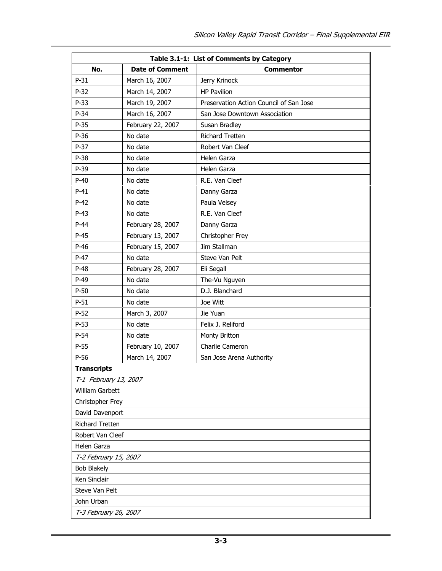| Table 3.1-1: List of Comments by Category |                        |                                         |  |  |  |
|-------------------------------------------|------------------------|-----------------------------------------|--|--|--|
| No.                                       | <b>Date of Comment</b> | <b>Commentor</b>                        |  |  |  |
| $P-31$                                    | March 16, 2007         | Jerry Krinock                           |  |  |  |
| $P-32$                                    | March 14, 2007         | <b>HP Pavilion</b>                      |  |  |  |
| $P-33$                                    | March 19, 2007         | Preservation Action Council of San Jose |  |  |  |
| P-34                                      | March 16, 2007         | San Jose Downtown Association           |  |  |  |
| $P-35$                                    | February 22, 2007      | Susan Bradley                           |  |  |  |
| $P-36$                                    | No date                | <b>Richard Tretten</b>                  |  |  |  |
| $P-37$                                    | No date                | Robert Van Cleef                        |  |  |  |
| P-38                                      | No date                | Helen Garza                             |  |  |  |
| $P-39$                                    | No date                | Helen Garza                             |  |  |  |
| $P-40$                                    | No date                | R.E. Van Cleef                          |  |  |  |
| $P-41$                                    | No date                | Danny Garza                             |  |  |  |
| $P-42$                                    | No date                | Paula Velsey                            |  |  |  |
| $P-43$                                    | No date                | R.E. Van Cleef                          |  |  |  |
| $P-44$                                    | February 28, 2007      | Danny Garza                             |  |  |  |
| $P-45$                                    | February 13, 2007      | Christopher Frey                        |  |  |  |
| $P-46$                                    | February 15, 2007      | Jim Stallman                            |  |  |  |
| $P-47$                                    | No date                | Steve Van Pelt                          |  |  |  |
| $P-48$                                    | February 28, 2007      | Eli Segall                              |  |  |  |
| $P-49$                                    | No date                | The-Vu Nguyen                           |  |  |  |
| $P-50$                                    | No date                | D.J. Blanchard                          |  |  |  |
| $P-51$                                    | No date                | Joe Witt                                |  |  |  |
| $P-52$                                    | March 3, 2007          | Jie Yuan                                |  |  |  |
| $P-53$                                    | No date                | Felix J. Reliford                       |  |  |  |
| $P-54$                                    | No date                | Monty Britton                           |  |  |  |
| $P-55$                                    | February 10, 2007      | Charlie Cameron                         |  |  |  |
| $P-56$                                    | March 14, 2007         | San Jose Arena Authority                |  |  |  |
| <b>Transcripts</b>                        |                        |                                         |  |  |  |
| T-1 February 13, 2007                     |                        |                                         |  |  |  |
| William Garbett                           |                        |                                         |  |  |  |
| Christopher Frey                          |                        |                                         |  |  |  |
| David Davenport                           |                        |                                         |  |  |  |
| <b>Richard Tretten</b>                    |                        |                                         |  |  |  |
| Robert Van Cleef                          |                        |                                         |  |  |  |
| Helen Garza                               |                        |                                         |  |  |  |
| T-2 February 15, 2007                     |                        |                                         |  |  |  |
| <b>Bob Blakely</b>                        |                        |                                         |  |  |  |
| Ken Sinclair                              |                        |                                         |  |  |  |
| Steve Van Pelt                            |                        |                                         |  |  |  |
| John Urban                                |                        |                                         |  |  |  |
| T-3 February 26, 2007                     |                        |                                         |  |  |  |